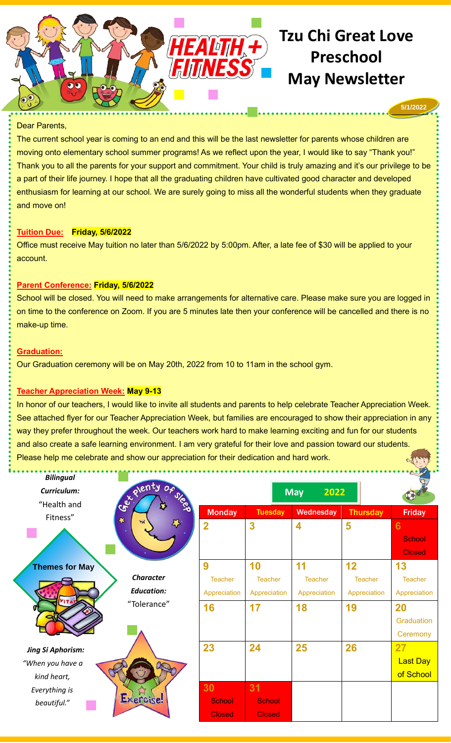

#### Dear Parents,

The current school year is coming to an end and this will be the last newsletter for parents whose children are moving onto elementary school summer programs! As we reflect upon the year, I would like to say "Thank you!" Thank you to all the parents for your support and commitment. Your child is truly amazing and it's our privilege to be a part of their life journey. I hope that all the graduating children have cultivated good character and developed enthusiasm for learning at our school. We are surely going to miss all the wonderful students when they graduate and move on!

# **Tuition Due: Friday, 5/6/2022**

Office must receive May tuition no later than 5/6/2022 by 5:00pm. After, a late fee of \$30 will be applied to your account.

# **Parent Conference: Friday, 5/6/2022**

School will be closed. You will need to make arrangements for alternative care. Please make sure you are logged in on time to the conference on Zoom. If you are 5 minutes late then your conference will be cancelled and there is no make-up time.

# **Graduation:**

Our Graduation ceremony will be on May 20th, 2022 from 10 to 11am in the school gym.

# **Teacher Appreciation Week: May 9-13**

In honor of our teachers, I would like to invite all students and parents to help celebrate Teacher Appreciation Week. See attached flyer for our Teacher Appreciation Week, but families are encouraged to show their appreciation in any way they prefer throughout the week. Our teachers work hard to make learning exciting and fun for our students and also create a safe learning environment. I am very grateful for their love and passion toward our students. Please help me celebrate and show our appreciation for their dedication and hard work.

|                |                                 |                     |                              | <b>Friday</b>                       |
|----------------|---------------------------------|---------------------|------------------------------|-------------------------------------|
|                |                                 |                     |                              | 6<br><b>School</b><br><b>Closed</b> |
| 9              | 10                              | 11                  | 12                           | 13                                  |
| <b>Teacher</b> | Teacher                         | <b>Teacher</b>      | <b>Teacher</b>               | <b>Teacher</b>                      |
| Appreciation   | Appreciation                    | Appreciation        | Appreciation                 | Appreciation                        |
| 16             | 17                              | 18                  |                              | 20                                  |
|                |                                 |                     |                              | Graduation                          |
|                |                                 |                     |                              | Ceremony                            |
| 23             | 24                              | 25                  | 26                           | 27                                  |
|                |                                 |                     |                              | <b>Last Day</b>                     |
|                |                                 |                     |                              | of School                           |
| 30             | 31                              |                     |                              |                                     |
| <b>School</b>  | <b>School</b>                   |                     |                              |                                     |
| <b>Closed</b>  | <b>Closed</b>                   |                     |                              |                                     |
|                | <b>Monday</b><br>$\overline{2}$ | <b>Tuesday</b><br>3 | <b>May</b><br>Wednesday<br>4 | 2022<br><b>Thursday</b><br>5<br>19  |